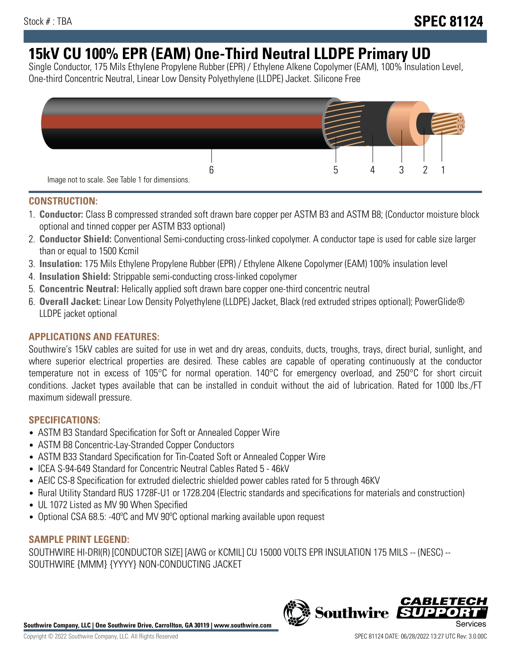# **15kV CU 100% EPR (EAM) One-Third Neutral LLDPE Primary UD**

Single Conductor, 175 Mils Ethylene Propylene Rubber (EPR) / Ethylene Alkene Copolymer (EAM), 100% Insulation Level, One-third Concentric Neutral, Linear Low Density Polyethylene (LLDPE) Jacket. Silicone Free



## **CONSTRUCTION:**

- 1. **Conductor:** Class B compressed stranded soft drawn bare copper per ASTM B3 and ASTM B8; (Conductor moisture block optional and tinned copper per ASTM B33 optional)
- 2. **Conductor Shield:** Conventional Semi-conducting cross-linked copolymer. A conductor tape is used for cable size larger than or equal to 1500 Kcmil
- 3. **Insulation:** 175 Mils Ethylene Propylene Rubber (EPR) / Ethylene Alkene Copolymer (EAM) 100% insulation level
- 4. **Insulation Shield:** Strippable semi-conducting cross-linked copolymer
- 5. **Concentric Neutral:** Helically applied soft drawn bare copper one-third concentric neutral
- 6. **Overall Jacket:** Linear Low Density Polyethylene (LLDPE) Jacket, Black (red extruded stripes optional); PowerGlide® LLDPE jacket optional

## **APPLICATIONS AND FEATURES:**

Southwire's 15kV cables are suited for use in wet and dry areas, conduits, ducts, troughs, trays, direct burial, sunlight, and where superior electrical properties are desired. These cables are capable of operating continuously at the conductor temperature not in excess of 105°C for normal operation. 140°C for emergency overload, and 250°C for short circuit conditions. Jacket types available that can be installed in conduit without the aid of lubrication. Rated for 1000 lbs./FT maximum sidewall pressure.

## **SPECIFICATIONS:**

- ASTM B3 Standard Specification for Soft or Annealed Copper Wire
- ASTM B8 Concentric-Lay-Stranded Copper Conductors
- ASTM B33 Standard Specification for Tin-Coated Soft or Annealed Copper Wire
- ICEA S-94-649 Standard for Concentric Neutral Cables Rated 5 46kV
- AEIC CS-8 Specification for extruded dielectric shielded power cables rated for 5 through 46KV
- Rural Utility Standard RUS 1728F-U1 or 1728.204 (Electric standards and specifications for materials and construction)
- UL 1072 Listed as MV 90 When Specified
- Optional CSA 68.5: -40°C and MV 90°C optional marking available upon request

# **SAMPLE PRINT LEGEND:**

SOUTHWIRE HI-DRI(R) [CONDUCTOR SIZE] [AWG or KCMIL] CU 15000 VOLTS EPR INSULATION 175 MILS -- (NESC) -- SOUTHWIRE {MMM} {YYYY} NON-CONDUCTING JACKET

**Southwire Company, LLC | One Southwire Drive, Carrollton, GA 30119 | www.southwire.com**